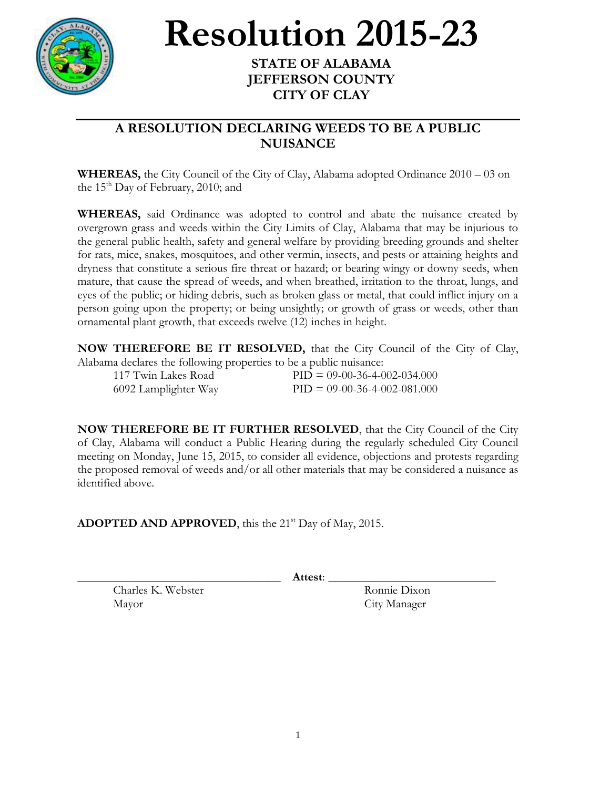

## **Resolution 2015-23**

## **STATE OF ALABAMA JEFFERSON COUNTY CITY OF CLAY**

## **A RESOLUTION DECLARING WEEDS TO BE A PUBLIC NUISANCE**

**WHEREAS,** the City Council of the City of Clay, Alabama adopted Ordinance 2010 – 03 on the  $15<sup>th</sup>$  Day of February, 2010; and

**WHEREAS,** said Ordinance was adopted to control and abate the nuisance created by overgrown grass and weeds within the City Limits of Clay, Alabama that may be injurious to the general public health, safety and general welfare by providing breeding grounds and shelter for rats, mice, snakes, mosquitoes, and other vermin, insects, and pests or attaining heights and dryness that constitute a serious fire threat or hazard; or bearing wingy or downy seeds, when mature, that cause the spread of weeds, and when breathed, irritation to the throat, lungs, and eyes of the public; or hiding debris, such as broken glass or metal, that could inflict injury on a person going upon the property; or being unsightly; or growth of grass or weeds, other than ornamental plant growth, that exceeds twelve (12) inches in height.

**NOW THEREFORE BE IT RESOLVED,** that the City Council of the City of Clay, Alabama declares the following properties to be a public nuisance:

| 117 Twin Lakes Road  | $PID = 09-00-36-4-002-034.000$ |
|----------------------|--------------------------------|
| 6092 Lamplighter Way | $PID = 09-00-36-4-002-081.000$ |

**NOW THEREFORE BE IT FURTHER RESOLVED**, that the City Council of the City of Clay, Alabama will conduct a Public Hearing during the regularly scheduled City Council meeting on Monday, June 15, 2015, to consider all evidence, objections and protests regarding the proposed removal of weeds and/or all other materials that may be considered a nuisance as identified above.

**ADOPTED AND APPROVED**, this the 21<sup>st</sup> Day of May, 2015.

\_\_\_\_\_\_\_\_\_\_\_\_\_\_\_\_\_\_\_\_\_\_\_\_\_\_\_\_\_\_\_\_\_\_ **Attest**: \_\_\_\_\_\_\_\_\_\_\_\_\_\_\_\_\_\_\_\_\_\_\_\_\_\_\_\_

Charles K. Webster Ronnie Dixon Mayor City Manager